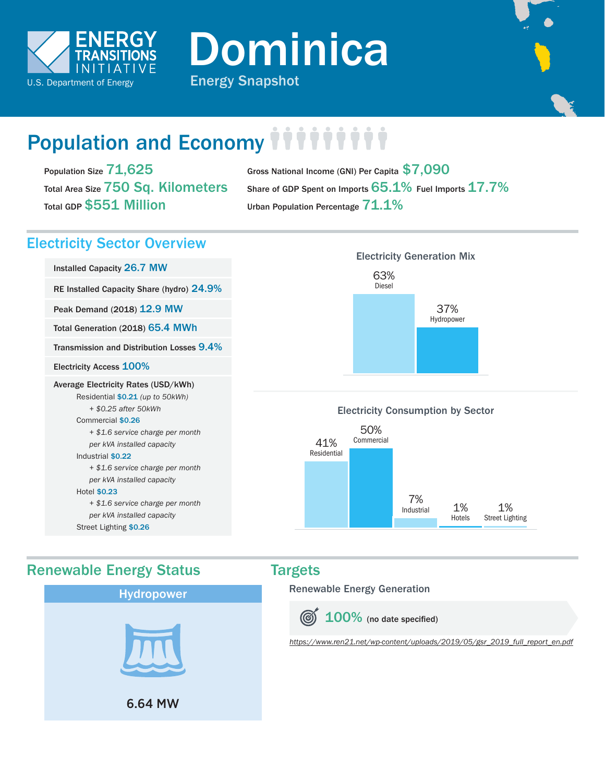

Dominica



# Population and Economy *iiiiiii*

Population Size 71,625 Total Area Size 750 Sq. Kilometers Total GDP \$551 Million

Gross National Income (GNI) Per Capita \$7,090 Share of GDP Spent on Imports  $65.1\%$  Fuel Imports  $17.7\%$ Urban Population Percentage  $71.1\%$ 

## Electricity Sector Overview

Installed Capacity 26.7 MW

RE Installed Capacity Share (hydro) 24.9%

Peak Demand (2018) 12.9 MW

Total Generation (2018) 65.4 MWh

Transmission and Distribution Losses 9.4%

Electricity Access 100%

### Average Electricity Rates (USD/kWh)

Residential \$0.21 *(up to 50kWh) + \$0.25 after 50kWh* Commercial \$0.26 *+ \$1.6 service charge per month per kVA installed capacity* Industrial \$0.22

 *+ \$1.6 service charge per month per kVA installed capacity*

### Hotel \$0.23

 *+ \$1.6 service charge per month per kVA installed capacity* Street Lighting \$0.26



Renewable Energy Generation

**6 100%** (no date specified)

*[https://www.ren21.net/wp-content/uploads/2019/05/gsr\\_2019\\_full\\_report\\_en.pdf](https://www.ren21.net/wp-content/uploads/2019/05/gsr_2019_full_report_en.pdf)*



Electricity Consumption by Sector